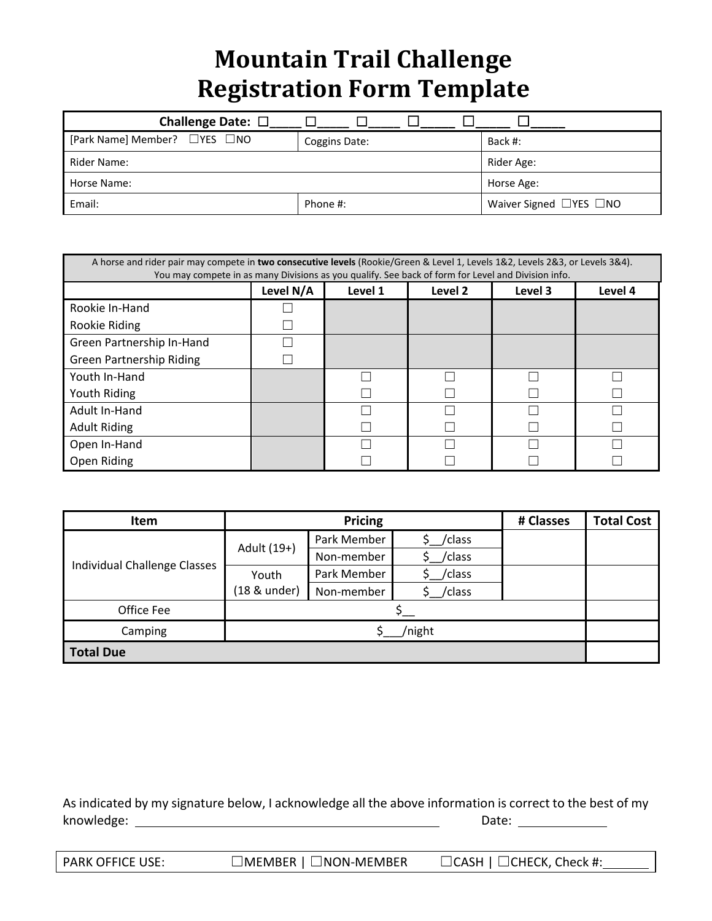# **Mountain Trail Challenge Registration Form Template**

| Challenge Date: $\square$    |               |                                    |
|------------------------------|---------------|------------------------------------|
| [Park Name] Member? □YES □NO | Coggins Date: | Back #:                            |
| Rider Name:                  | Rider Age:    |                                    |
| Horse Name:                  | Horse Age:    |                                    |
| Email:                       | Phone #:      | Waiver Signed $\Box$ YES $\Box$ NO |

| A horse and rider pair may compete in two consecutive levels (Rookie/Green & Level 1, Levels 1&2, Levels 2&3, or Levels 3&4).<br>You may compete in as many Divisions as you qualify. See back of form for Level and Division info. |           |         |         |         |         |
|-------------------------------------------------------------------------------------------------------------------------------------------------------------------------------------------------------------------------------------|-----------|---------|---------|---------|---------|
|                                                                                                                                                                                                                                     | Level N/A | Level 1 | Level 2 | Level 3 | Level 4 |
| Rookie In-Hand                                                                                                                                                                                                                      |           |         |         |         |         |
| Rookie Riding                                                                                                                                                                                                                       |           |         |         |         |         |
| Green Partnership In-Hand                                                                                                                                                                                                           |           |         |         |         |         |
| <b>Green Partnership Riding</b>                                                                                                                                                                                                     |           |         |         |         |         |
| Youth In-Hand                                                                                                                                                                                                                       |           |         |         |         |         |
| Youth Riding                                                                                                                                                                                                                        |           |         |         |         |         |
| Adult In-Hand                                                                                                                                                                                                                       |           |         |         |         |         |
| <b>Adult Riding</b>                                                                                                                                                                                                                 |           |         |         |         |         |
| Open In-Hand                                                                                                                                                                                                                        |           |         |         |         |         |
| Open Riding                                                                                                                                                                                                                         |           |         |         |         |         |

| Item                                | <b>Pricing</b><br># Classes |             |        | <b>Total Cost</b> |  |
|-------------------------------------|-----------------------------|-------------|--------|-------------------|--|
| <b>Individual Challenge Classes</b> | Adult (19+)                 | Park Member | /class |                   |  |
|                                     |                             | Non-member  | /class |                   |  |
|                                     | Youth                       | Park Member | /class |                   |  |
|                                     | (18 & under)                | Non-member  | /class |                   |  |
| Office Fee                          |                             |             |        |                   |  |
| Camping                             | /night                      |             |        |                   |  |
| <b>Total Due</b>                    |                             |             |        |                   |  |

As indicated by my signature below, I acknowledge all the above information is correct to the best of my knowledge: Date:

| <b>PARK OFFICE USE:</b> | $\Box$ MEMBER   $\Box$ NON-MEMBER | $\Box$ CASH   $\Box$ CHECK, Check #: |
|-------------------------|-----------------------------------|--------------------------------------|
|-------------------------|-----------------------------------|--------------------------------------|